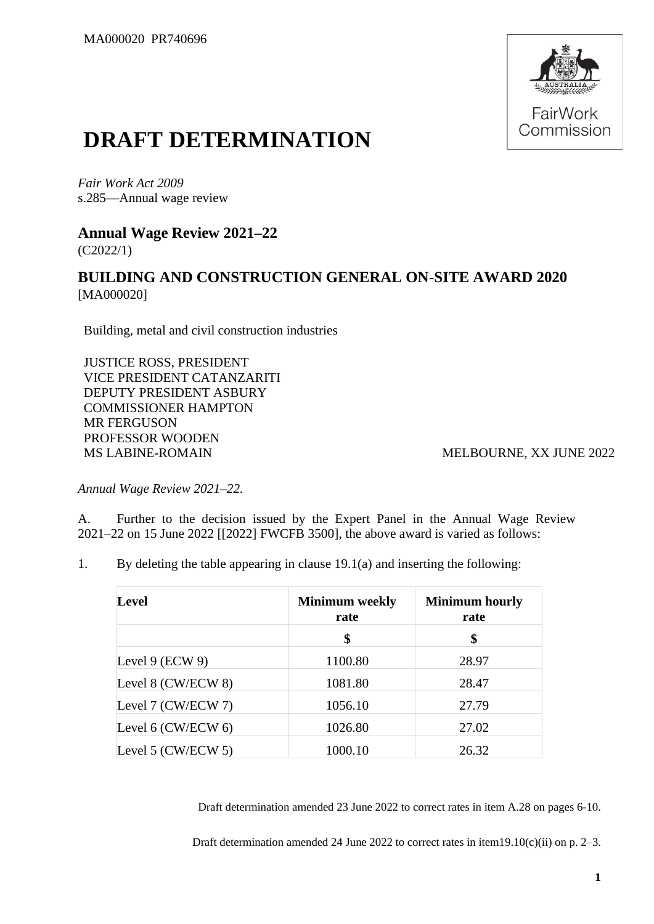

# **DRAFT DETERMINATION**

*Fair Work Act 2009* s.285—Annual wage review

#### **Annual Wage Review 2021–22** (C2022/1)

# **BUILDING AND CONSTRUCTION GENERAL ON-SITE AWARD 2020** [MA000020]

Building, metal and civil construction industries

JUSTICE ROSS, PRESIDENT VICE PRESIDENT CATANZARITI DEPUTY PRESIDENT ASBURY COMMISSIONER HAMPTON MR FERGUSON PROFESSOR WOODEN MS LABINE-ROMAIN MELBOURNE, XX JUNE 2022

*Annual Wage Review 2021–22.*

A. Further to the decision issued by the Expert Panel in the Annual Wage Review 2021–22 on 15 June 2022 [[2022] FWCFB 3500], the above award is varied as follows:

1. By deleting the table appearing in clause 19.1(a) and inserting the following:

| <b>Level</b>            | <b>Minimum</b> weekly<br>rate | <b>Minimum hourly</b><br>rate |  |
|-------------------------|-------------------------------|-------------------------------|--|
|                         | \$                            | \$                            |  |
| Level $9$ (ECW $9$ )    | 1100.80                       | 28.97                         |  |
| Level 8 (CW/ECW 8)      | 1081.80                       | 28.47                         |  |
| Level 7 (CW/ECW 7)      | 1056.10                       | 27.79                         |  |
| Level $6$ (CW/ECW $6$ ) | 1026.80                       | 27.02                         |  |
| Level 5 (CW/ECW 5)      | 1000.10                       | 26.32                         |  |

Draft determination amended 23 June 2022 to correct rates in item A.28 on pages 6-10.

Draft determination amended 24 June 2022 to correct rates in item19.10(c)(ii) on p. 2–3.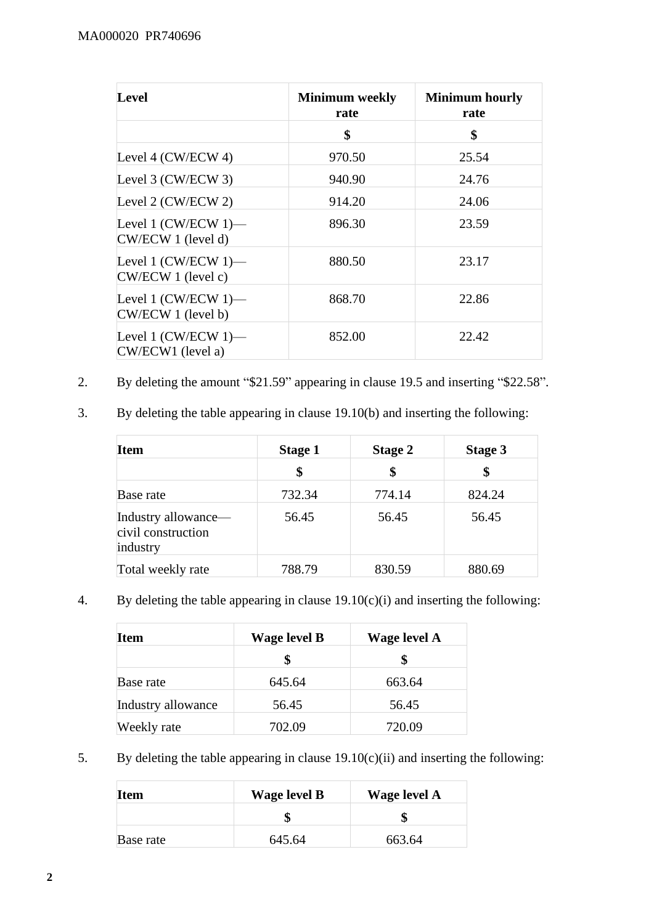| Level                                          | <b>Minimum</b> weekly<br>rate | <b>Minimum hourly</b><br>rate |  |
|------------------------------------------------|-------------------------------|-------------------------------|--|
|                                                | \$                            | \$                            |  |
| Level 4 (CW/ECW 4)                             | 970.50                        | 25.54                         |  |
| Level 3 (CW/ECW 3)                             | 940.90                        | 24.76                         |  |
| Level 2 (CW/ECW 2)                             | 914.20                        | 24.06                         |  |
| Level 1 $(CW/ECW 1)$ —<br>CW/ECW 1 (level d)   | 896.30                        | 23.59                         |  |
| Level 1 $(CW/ECW 1)$ —<br>$CW/ECW$ 1 (level c) | 880.50                        | 23.17                         |  |
| Level 1 $(CW/ECW 1)$ —<br>CW/ECW 1 (level b)   | 868.70                        | 22.86                         |  |
| Level 1 $(CW/ECW 1)$ —<br>CW/ECW1 (level a)    | 852.00                        | 22.42                         |  |

- 2. By deleting the amount "\$21.59" appearing in clause 19.5 and inserting "\$22.58".
- 3. By deleting the table appearing in clause 19.10(b) and inserting the following:

| Item                                                  | <b>Stage 1</b> | Stage 2 | Stage 3 |
|-------------------------------------------------------|----------------|---------|---------|
|                                                       | \$             | \$      | \$      |
| Base rate                                             | 732.34         | 774.14  | 824.24  |
| Industry allowance—<br>civil construction<br>industry | 56.45          | 56.45   | 56.45   |
| Total weekly rate                                     | 788.79         | 830.59  | 880.69  |

4. By deleting the table appearing in clause 19.10(c)(i) and inserting the following:

| Item               | <b>Wage level B</b> | Wage level A |
|--------------------|---------------------|--------------|
|                    | \$                  |              |
| Base rate          | 645.64              | 663.64       |
| Industry allowance | 56.45               | 56.45        |
| Weekly rate        | 702.09              | 720.09       |

5. By deleting the table appearing in clause  $19.10(c)(ii)$  and inserting the following:

| <b>Item</b> | <b>Wage level B</b> | <b>Wage level A</b> |
|-------------|---------------------|---------------------|
|             |                     |                     |
| Base rate   | 645.64              | 663.64              |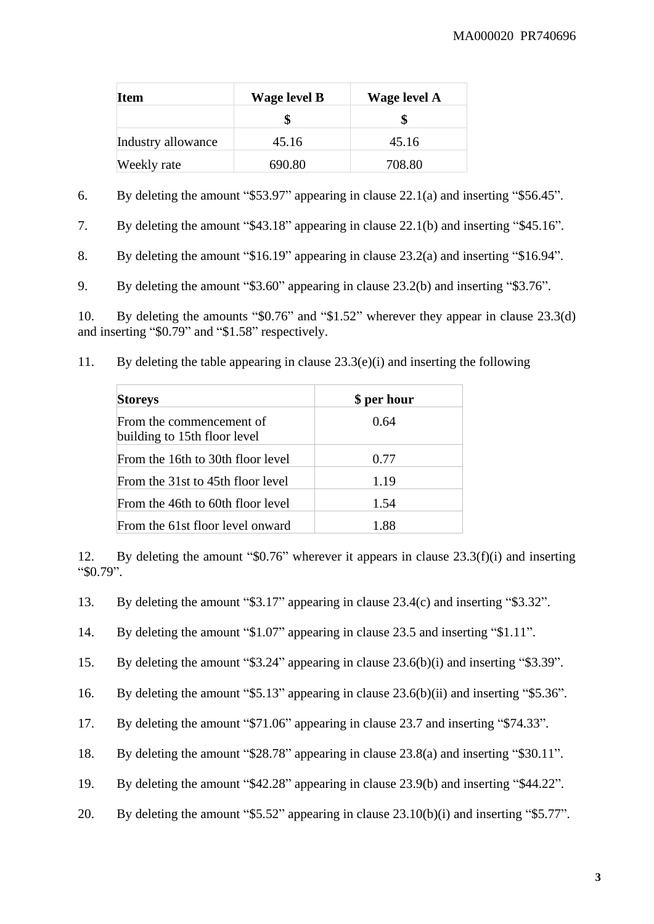| <b>Item</b>        | Wage level B | <b>Wage level A</b> |
|--------------------|--------------|---------------------|
|                    |              |                     |
| Industry allowance | 45.16        | 45.16               |
| Weekly rate        | 690.80       | 708.80              |

6. By deleting the amount "\$53.97" appearing in clause 22.1(a) and inserting "\$56.45".

7. By deleting the amount "\$43.18" appearing in clause 22.1(b) and inserting "\$45.16".

8. By deleting the amount "\$16.19" appearing in clause 23.2(a) and inserting "\$16.94".

9. By deleting the amount "\$3.60" appearing in clause 23.2(b) and inserting "\$3.76".

10. By deleting the amounts "\$0.76" and "\$1.52" wherever they appear in clause 23.3(d) and inserting "\$0.79" and "\$1.58" respectively.

| 11. | By deleting the table appearing in clause $23.3(e)(i)$ and inserting the following |  |  |  |  |  |
|-----|------------------------------------------------------------------------------------|--|--|--|--|--|
|-----|------------------------------------------------------------------------------------|--|--|--|--|--|

| <b>Storeys</b>                                           | \$ per hour |
|----------------------------------------------------------|-------------|
| From the commencement of<br>building to 15th floor level | 0.64        |
| From the 16th to 30th floor level                        | 0.77        |
| From the 31st to 45th floor level                        | 1.19        |
| From the 46th to 60th floor level                        | 1.54        |
| From the 61st floor level onward                         | 1.88        |

12. By deleting the amount "\$0.76" wherever it appears in clause 23.3(f)(i) and inserting "\$0.79".

13. By deleting the amount "\$3.17" appearing in clause 23.4(c) and inserting "\$3.32".

14. By deleting the amount "\$1.07" appearing in clause 23.5 and inserting "\$1.11".

15. By deleting the amount "\$3.24" appearing in clause 23.6(b)(i) and inserting "\$3.39".

16. By deleting the amount "\$5.13" appearing in clause 23.6(b)(ii) and inserting "\$5.36".

17. By deleting the amount "\$71.06" appearing in clause 23.7 and inserting "\$74.33".

- 18. By deleting the amount "\$28.78" appearing in clause 23.8(a) and inserting "\$30.11".
- 19. By deleting the amount "\$42.28" appearing in clause 23.9(b) and inserting "\$44.22".
- 20. By deleting the amount "\$5.52" appearing in clause 23.10(b)(i) and inserting "\$5.77".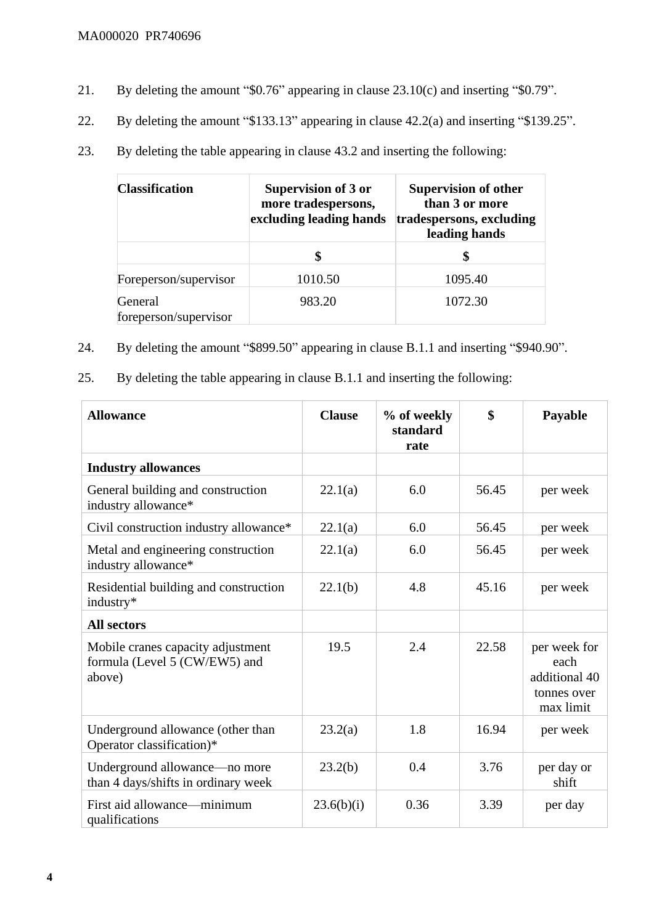- 21. By deleting the amount "\$0.76" appearing in clause 23.10(c) and inserting "\$0.79".
- 22. By deleting the amount "\$133.13" appearing in clause 42.2(a) and inserting "\$139.25".
- 23. By deleting the table appearing in clause 43.2 and inserting the following:

| <b>Classification</b>            | <b>Supervision of 3 or</b><br>more tradespersons,<br>excluding leading hands | <b>Supervision of other</b><br>than 3 or more<br>tradespersons, excluding<br>leading hands |
|----------------------------------|------------------------------------------------------------------------------|--------------------------------------------------------------------------------------------|
|                                  |                                                                              | S                                                                                          |
| Foreperson/supervisor            | 1010.50                                                                      | 1095.40                                                                                    |
| General<br>foreperson/supervisor | 983.20                                                                       | 1072.30                                                                                    |

- 24. By deleting the amount "\$899.50" appearing in clause B.1.1 and inserting "\$940.90".
- 25. By deleting the table appearing in clause B.1.1 and inserting the following:

| <b>Allowance</b>                                                             | <b>Clause</b> | % of weekly<br>standard<br>rate | \$    | Payable                                                           |
|------------------------------------------------------------------------------|---------------|---------------------------------|-------|-------------------------------------------------------------------|
| <b>Industry allowances</b>                                                   |               |                                 |       |                                                                   |
| General building and construction<br>industry allowance*                     | 22.1(a)       | 6.0                             | 56.45 | per week                                                          |
| Civil construction industry allowance*                                       | 22.1(a)       | 6.0                             | 56.45 | per week                                                          |
| Metal and engineering construction<br>industry allowance*                    | 22.1(a)       | 6.0                             | 56.45 | per week                                                          |
| Residential building and construction<br>industry*                           | 22.1(b)       | 4.8                             | 45.16 | per week                                                          |
| <b>All sectors</b>                                                           |               |                                 |       |                                                                   |
| Mobile cranes capacity adjustment<br>formula (Level 5 (CW/EW5) and<br>above) | 19.5          | 2.4                             | 22.58 | per week for<br>each<br>additional 40<br>tonnes over<br>max limit |
| Underground allowance (other than<br>Operator classification)*               | 23.2(a)       | 1.8                             | 16.94 | per week                                                          |
| Underground allowance—no more<br>than 4 days/shifts in ordinary week         | 23.2(b)       | 0.4                             | 3.76  | per day or<br>shift                                               |
| First aid allowance—minimum<br>qualifications                                | 23.6(b)(i)    | 0.36                            | 3.39  | per day                                                           |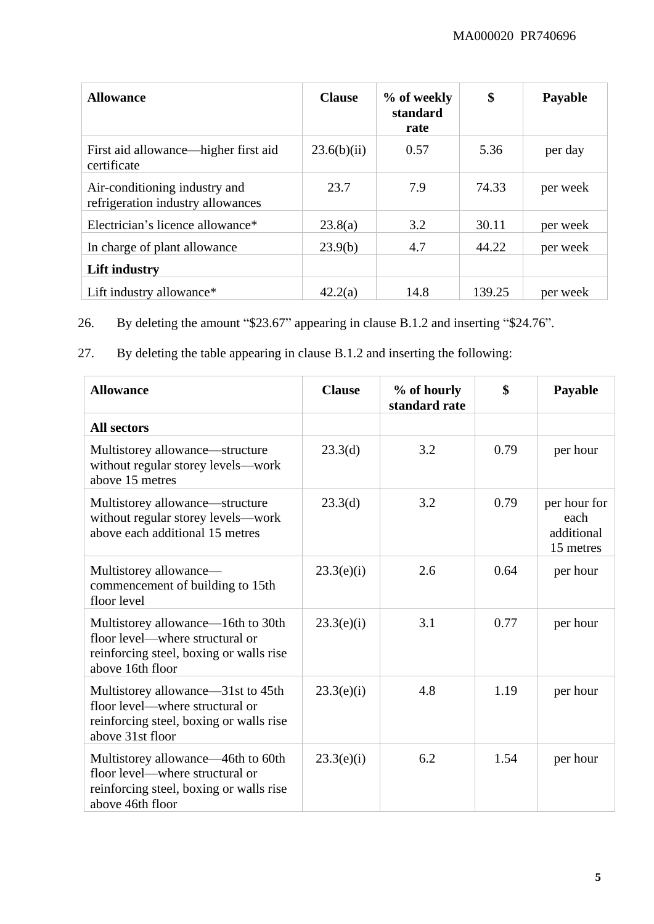| <b>Allowance</b>                                                   | <b>Clause</b> | % of weekly<br>standard<br>rate | \$     | Payable  |
|--------------------------------------------------------------------|---------------|---------------------------------|--------|----------|
| First aid allowance—higher first aid<br>certificate                | 23.6(b)(ii)   | 0.57                            | 5.36   | per day  |
| Air-conditioning industry and<br>refrigeration industry allowances | 23.7          | 7.9                             | 74.33  | per week |
| Electrician's licence allowance*                                   | 23.8(a)       | 3.2                             | 30.11  | per week |
| In charge of plant allowance                                       | 23.9(b)       | 4.7                             | 44.22  | per week |
| Lift industry                                                      |               |                                 |        |          |
| Lift industry allowance*                                           | 42.2(a)       | 14.8                            | 139.25 | per week |

26. By deleting the amount "\$23.67" appearing in clause B.1.2 and inserting "\$24.76".

27. By deleting the table appearing in clause B.1.2 and inserting the following:

| <b>Allowance</b>                                                                                                                     | <b>Clause</b> | % of hourly<br>standard rate | \$   | Payable                                         |
|--------------------------------------------------------------------------------------------------------------------------------------|---------------|------------------------------|------|-------------------------------------------------|
| <b>All sectors</b>                                                                                                                   |               |                              |      |                                                 |
| Multistorey allowance—structure<br>without regular storey levels-work<br>above 15 metres                                             | 23.3(d)       | 3.2                          | 0.79 | per hour                                        |
| Multistorey allowance—structure<br>without regular storey levels-work<br>above each additional 15 metres                             | 23.3(d)       | 3.2                          | 0.79 | per hour for<br>each<br>additional<br>15 metres |
| Multistorey allowance-<br>commencement of building to 15th<br>floor level                                                            | 23.3(e)(i)    | 2.6                          | 0.64 | per hour                                        |
| Multistorey allowance—16th to 30th<br>floor level—where structural or<br>reinforcing steel, boxing or walls rise<br>above 16th floor | 23.3(e)(i)    | 3.1                          | 0.77 | per hour                                        |
| Multistorey allowance—31st to 45th<br>floor level—where structural or<br>reinforcing steel, boxing or walls rise<br>above 31st floor | 23.3(e)(i)    | 4.8                          | 1.19 | per hour                                        |
| Multistorey allowance—46th to 60th<br>floor level—where structural or<br>reinforcing steel, boxing or walls rise<br>above 46th floor | 23.3(e)(i)    | 6.2                          | 1.54 | per hour                                        |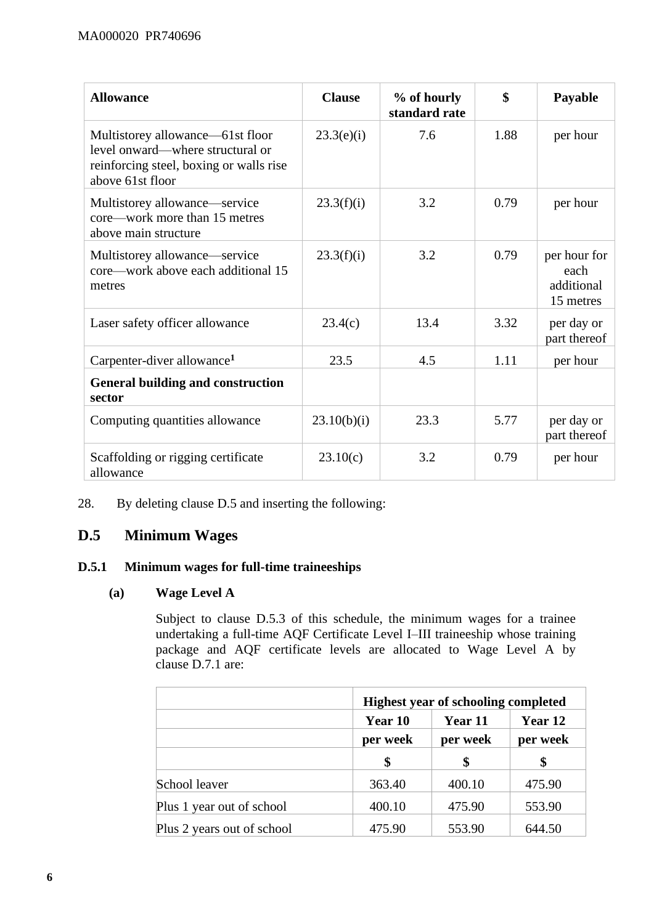| <b>Allowance</b>                                                                                                                    | <b>Clause</b> | % of hourly<br>standard rate | \$   | Payable                                         |
|-------------------------------------------------------------------------------------------------------------------------------------|---------------|------------------------------|------|-------------------------------------------------|
| Multistorey allowance—61st floor<br>level onward—where structural or<br>reinforcing steel, boxing or walls rise<br>above 61st floor | 23.3(e)(i)    | 7.6                          | 1.88 | per hour                                        |
| Multistorey allowance—service<br>core—work more than 15 metres<br>above main structure                                              | 23.3(f)(i)    | 3.2                          | 0.79 | per hour                                        |
| Multistorey allowance-service<br>core—work above each additional 15<br>metres                                                       | 23.3(f)(i)    | 3.2                          | 0.79 | per hour for<br>each<br>additional<br>15 metres |
| Laser safety officer allowance                                                                                                      | 23.4(c)       | 13.4                         | 3.32 | per day or<br>part thereof                      |
| Carpenter-diver allowance <sup>1</sup>                                                                                              | 23.5          | 4.5                          | 1.11 | per hour                                        |
| <b>General building and construction</b><br>sector                                                                                  |               |                              |      |                                                 |
| Computing quantities allowance                                                                                                      | 23.10(b)(i)   | 23.3                         | 5.77 | per day or<br>part thereof                      |
| Scaffolding or rigging certificate<br>allowance                                                                                     | 23.10(c)      | 3.2                          | 0.79 | per hour                                        |

28. By deleting clause D.5 and inserting the following:

# **D.5 Minimum Wages**

# **D.5.1 Minimum wages for full-time traineeships**

#### **(a) Wage Level A**

Subject to clause D.5.3 of this schedule, the minimum wages for a trainee undertaking a full-time AQF Certificate Level I–III traineeship whose training package and AQF certificate levels are allocated to Wage Level A by clause D.7.1 are:

|                            | <b>Highest year of schooling completed</b> |          |          |
|----------------------------|--------------------------------------------|----------|----------|
|                            | Year 10                                    | Year 11  | Year 12  |
|                            | per week                                   | per week | per week |
|                            | \$                                         | \$       |          |
| School leaver              | 363.40                                     | 400.10   | 475.90   |
| Plus 1 year out of school  | 400.10                                     | 475.90   | 553.90   |
| Plus 2 years out of school | 475.90                                     | 553.90   | 644.50   |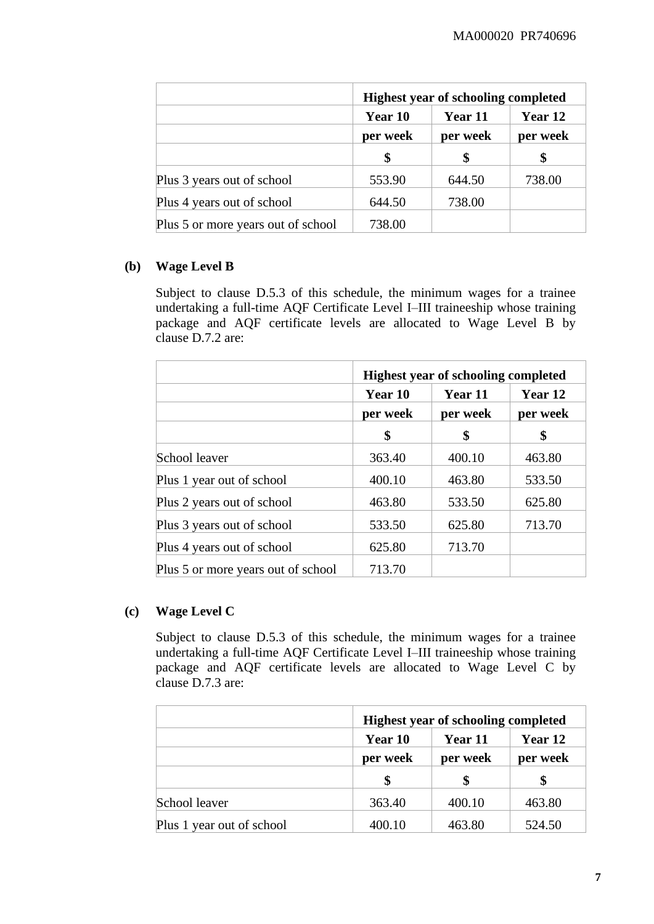|                                    | <b>Highest year of schooling completed</b> |          |          |
|------------------------------------|--------------------------------------------|----------|----------|
|                                    | Year 11<br>Year 10                         |          | Year 12  |
|                                    | per week                                   | per week | per week |
|                                    | \$                                         | \$       |          |
| Plus 3 years out of school         | 553.90                                     | 644.50   | 738.00   |
| Plus 4 years out of school         | 644.50                                     | 738.00   |          |
| Plus 5 or more years out of school | 738.00                                     |          |          |

#### **(b) Wage Level B**

Subject to clause D.5.3 of this schedule, the minimum wages for a trainee undertaking a full-time AQF Certificate Level I–III traineeship whose training package and AQF certificate levels are allocated to Wage Level B by clause D.7.2 are:

|                                    | <b>Highest year of schooling completed</b> |          |          |
|------------------------------------|--------------------------------------------|----------|----------|
|                                    | Year 10                                    | Year 11  | Year 12  |
|                                    | per week                                   | per week | per week |
|                                    | \$                                         | \$       | \$       |
| School leaver                      | 363.40                                     | 400.10   | 463.80   |
| Plus 1 year out of school          | 400.10                                     | 463.80   | 533.50   |
| Plus 2 years out of school         | 463.80                                     | 533.50   | 625.80   |
| Plus 3 years out of school         | 533.50                                     | 625.80   | 713.70   |
| Plus 4 years out of school         | 625.80                                     | 713.70   |          |
| Plus 5 or more years out of school | 713.70                                     |          |          |

# **(c) Wage Level C**

Subject to clause D.5.3 of this schedule, the minimum wages for a trainee undertaking a full-time AQF Certificate Level I–III traineeship whose training package and AQF certificate levels are allocated to Wage Level C by clause D.7.3 are:

|                           |          | <b>Highest year of schooling completed</b> |          |  |
|---------------------------|----------|--------------------------------------------|----------|--|
|                           | Year 10  | Year 11                                    | Year 12  |  |
|                           | per week | per week                                   | per week |  |
|                           | \$       |                                            |          |  |
| School leaver             | 363.40   | 400.10                                     | 463.80   |  |
| Plus 1 year out of school | 400.10   | 463.80                                     | 524.50   |  |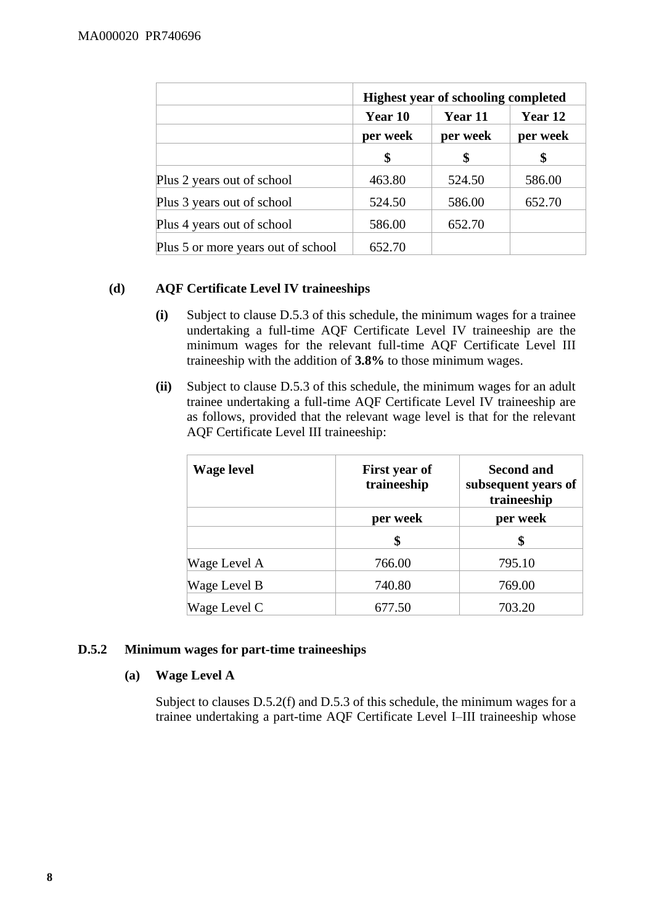|                                    | <b>Highest year of schooling completed</b> |          |          |
|------------------------------------|--------------------------------------------|----------|----------|
|                                    | Year 10                                    | Year 11  | Year 12  |
|                                    | per week                                   | per week | per week |
|                                    | \$                                         | \$       | \$       |
| Plus 2 years out of school         | 463.80                                     | 524.50   | 586.00   |
| Plus 3 years out of school         | 524.50                                     | 586.00   | 652.70   |
| Plus 4 years out of school         | 586.00                                     | 652.70   |          |
| Plus 5 or more years out of school | 652.70                                     |          |          |

# **(d) AQF Certificate Level IV traineeships**

- **(i)** Subject to clause D.5.3 of this schedule, the minimum wages for a trainee undertaking a full-time AQF Certificate Level IV traineeship are the minimum wages for the relevant full-time AQF Certificate Level III traineeship with the addition of **3.8%** to those minimum wages.
- **(ii)** Subject to clause D.5.3 of this schedule, the minimum wages for an adult trainee undertaking a full-time AQF Certificate Level IV traineeship are as follows, provided that the relevant wage level is that for the relevant AQF Certificate Level III traineeship:

| <b>Wage level</b> | First year of<br>traineeship | <b>Second and</b><br>subsequent years of<br>traineeship |
|-------------------|------------------------------|---------------------------------------------------------|
|                   | per week                     | per week                                                |
|                   | \$                           |                                                         |
| Wage Level A      | 766.00                       | 795.10                                                  |
| Wage Level B      | 740.80                       | 769.00                                                  |
| Wage Level C      | 677.50                       | 703.20                                                  |

# **D.5.2 Minimum wages for part-time traineeships**

# **(a) Wage Level A**

Subject to clauses D.5.2(f) and D.5.3 of this schedule, the minimum wages for a trainee undertaking a part-time AQF Certificate Level I–III traineeship whose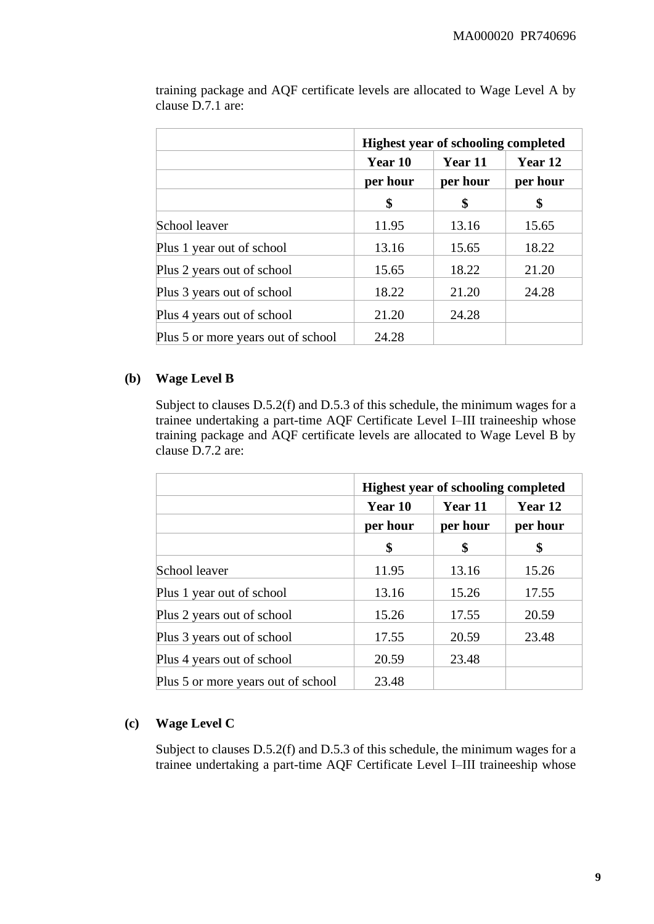|                                    | <b>Highest year of schooling completed</b> |          |          |
|------------------------------------|--------------------------------------------|----------|----------|
|                                    | Year 10                                    | Year 11  | Year 12  |
|                                    | per hour                                   | per hour | per hour |
|                                    | \$                                         | \$       | \$       |
| School leaver                      | 11.95                                      | 13.16    | 15.65    |
| Plus 1 year out of school          | 13.16                                      | 15.65    | 18.22    |
| Plus 2 years out of school         | 15.65                                      | 18.22    | 21.20    |
| Plus 3 years out of school         | 18.22                                      | 21.20    | 24.28    |
| Plus 4 years out of school         | 21.20                                      | 24.28    |          |
| Plus 5 or more years out of school | 24.28                                      |          |          |

training package and AQF certificate levels are allocated to Wage Level A by clause D.7.1 are:

# **(b) Wage Level B**

Subject to clauses D.5.2(f) and D.5.3 of this schedule, the minimum wages for a trainee undertaking a part-time AQF Certificate Level I–III traineeship whose training package and AQF certificate levels are allocated to Wage Level B by clause D.7.2 are:

|                                    | <b>Highest year of schooling completed</b> |          |          |
|------------------------------------|--------------------------------------------|----------|----------|
|                                    | Year 10                                    | Year 11  | Year 12  |
|                                    | per hour                                   | per hour | per hour |
|                                    | \$                                         | \$       | \$       |
| School leaver                      | 11.95                                      | 13.16    | 15.26    |
| Plus 1 year out of school          | 13.16                                      | 15.26    | 17.55    |
| Plus 2 years out of school         | 15.26                                      | 17.55    | 20.59    |
| Plus 3 years out of school         | 17.55                                      | 20.59    | 23.48    |
| Plus 4 years out of school         | 20.59                                      | 23.48    |          |
| Plus 5 or more years out of school | 23.48                                      |          |          |

# **(c) Wage Level C**

Subject to clauses D.5.2(f) and D.5.3 of this schedule, the minimum wages for a trainee undertaking a part-time AQF Certificate Level I–III traineeship whose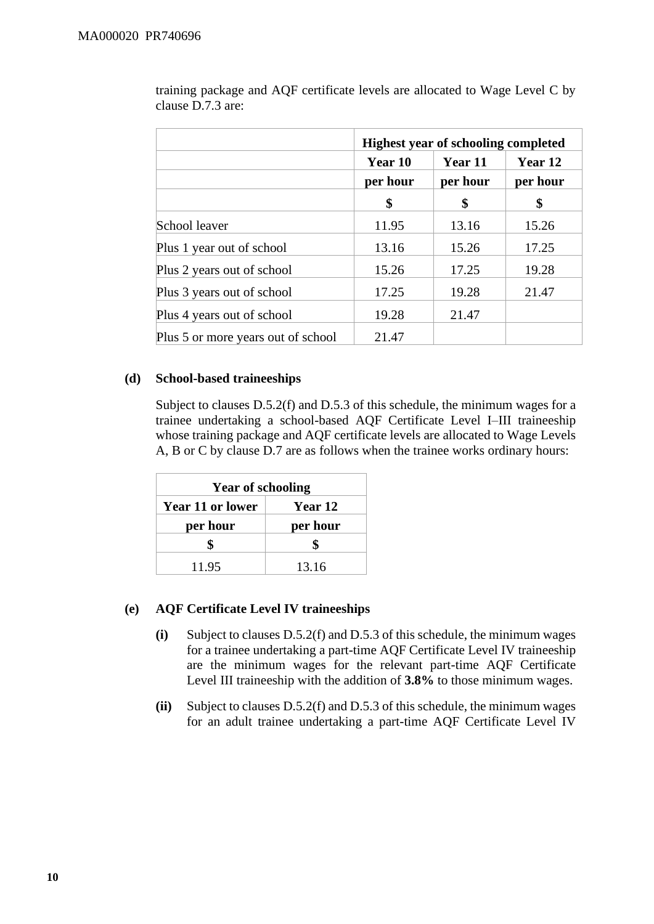|                                    | <b>Highest year of schooling completed</b> |          |          |
|------------------------------------|--------------------------------------------|----------|----------|
|                                    | Year 10                                    | Year 11  | Year 12  |
|                                    | per hour                                   | per hour | per hour |
|                                    | \$                                         | \$       | \$       |
| School leaver                      | 11.95                                      | 13.16    | 15.26    |
| Plus 1 year out of school          | 13.16                                      | 15.26    | 17.25    |
| Plus 2 years out of school         | 15.26                                      | 17.25    | 19.28    |
| Plus 3 years out of school         | 17.25                                      | 19.28    | 21.47    |
| Plus 4 years out of school         | 19.28                                      | 21.47    |          |
| Plus 5 or more years out of school | 21.47                                      |          |          |

training package and AQF certificate levels are allocated to Wage Level C by clause D.7.3 are:

#### **(d) School-based traineeships**

Subject to clauses D.5.2(f) and D.5.3 of this schedule, the minimum wages for a trainee undertaking a school-based AQF Certificate Level I–III traineeship whose training package and AQF certificate levels are allocated to Wage Levels A, B or C by clause D.7 are as follows when the trainee works ordinary hours:

| <b>Year of schooling</b> |          |  |
|--------------------------|----------|--|
| <b>Year 11 or lower</b>  | Year 12  |  |
| per hour                 | per hour |  |
| \$                       |          |  |
| 11.95                    | 13.16    |  |

# **(e) AQF Certificate Level IV traineeships**

- **(i)** Subject to clauses D.5.2(f) and D.5.3 of this schedule, the minimum wages for a trainee undertaking a part-time AQF Certificate Level IV traineeship are the minimum wages for the relevant part-time AQF Certificate Level III traineeship with the addition of **3.8%** to those minimum wages.
- **(ii)** Subject to clauses D.5.2(f) and D.5.3 of this schedule, the minimum wages for an adult trainee undertaking a part-time AQF Certificate Level IV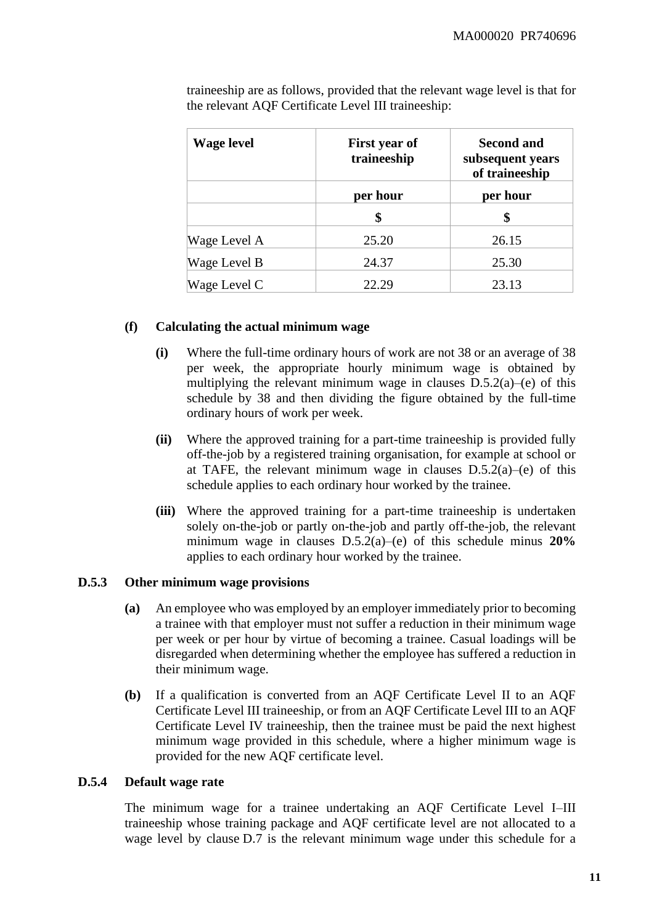| <b>Wage level</b> | First year of<br>traineeship | <b>Second and</b><br>subsequent years<br>of traineeship |
|-------------------|------------------------------|---------------------------------------------------------|
|                   | per hour                     | per hour                                                |
|                   | \$                           | \$                                                      |
| Wage Level A      | 25.20                        | 26.15                                                   |
| Wage Level B      | 24.37                        | 25.30                                                   |
| Wage Level C      | 22.29                        | 23.13                                                   |

traineeship are as follows, provided that the relevant wage level is that for the relevant AQF Certificate Level III traineeship:

#### **(f) Calculating the actual minimum wage**

- **(i)** Where the full-time ordinary hours of work are not 38 or an average of 38 per week, the appropriate hourly minimum wage is obtained by multiplying the relevant minimum wage in clauses D.5.2(a)–(e) of this schedule by 38 and then dividing the figure obtained by the full-time ordinary hours of work per week.
- **(ii)** Where the approved training for a part-time traineeship is provided fully off-the-job by a registered training organisation, for example at school or at TAFE, the relevant minimum wage in clauses  $D.5.2(a)$ –(e) of this schedule applies to each ordinary hour worked by the trainee.
- **(iii)** Where the approved training for a part-time traineeship is undertaken solely on-the-job or partly on-the-job and partly off-the-job, the relevant minimum wage in clauses D.5.2(a)–(e) of this schedule minus **20%** applies to each ordinary hour worked by the trainee.

#### **D.5.3 Other minimum wage provisions**

- **(a)** An employee who was employed by an employer immediately prior to becoming a trainee with that employer must not suffer a reduction in their minimum wage per week or per hour by virtue of becoming a trainee. Casual loadings will be disregarded when determining whether the employee has suffered a reduction in their minimum wage.
- **(b)** If a qualification is converted from an AQF Certificate Level II to an AQF Certificate Level III traineeship, or from an AQF Certificate Level III to an AQF Certificate Level IV traineeship, then the trainee must be paid the next highest minimum wage provided in this schedule, where a higher minimum wage is provided for the new AQF certificate level.

#### **D.5.4 Default wage rate**

The minimum wage for a trainee undertaking an AQF Certificate Level I–III traineeship whose training package and AQF certificate level are not allocated to a wage level by clause D.7 is the relevant minimum wage under this schedule for a